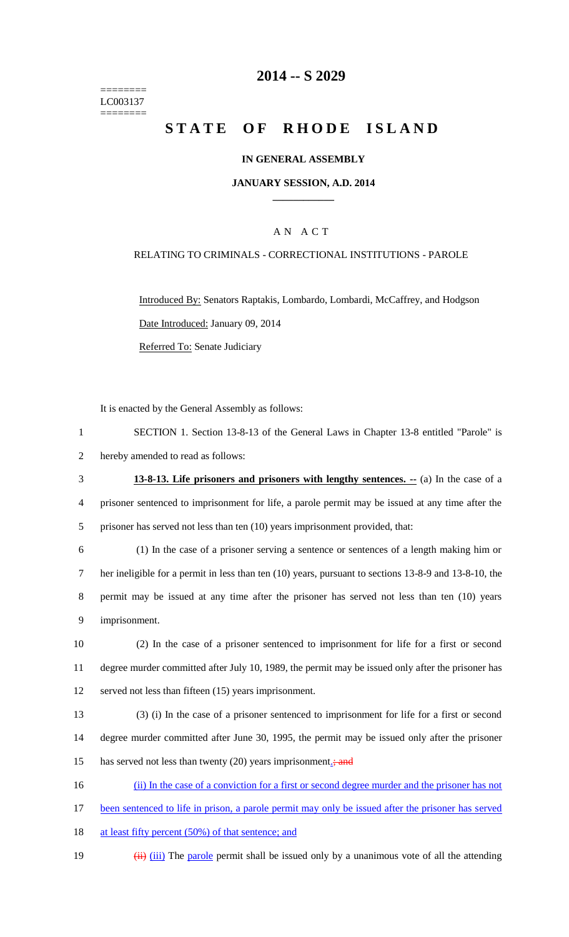======== LC003137 ========

## **2014 -- S 2029**

# STATE OF RHODE ISLAND

#### **IN GENERAL ASSEMBLY**

#### **JANUARY SESSION, A.D. 2014 \_\_\_\_\_\_\_\_\_\_\_\_**

## A N A C T

#### RELATING TO CRIMINALS - CORRECTIONAL INSTITUTIONS - PAROLE

Introduced By: Senators Raptakis, Lombardo, Lombardi, McCaffrey, and Hodgson Date Introduced: January 09, 2014 Referred To: Senate Judiciary

It is enacted by the General Assembly as follows:

1 SECTION 1. Section 13-8-13 of the General Laws in Chapter 13-8 entitled "Parole" is 2 hereby amended to read as follows:

3 **13-8-13. Life prisoners and prisoners with lengthy sentences. --** (a) In the case of a 4 prisoner sentenced to imprisonment for life, a parole permit may be issued at any time after the 5 prisoner has served not less than ten (10) years imprisonment provided, that:

 (1) In the case of a prisoner serving a sentence or sentences of a length making him or her ineligible for a permit in less than ten (10) years, pursuant to sections 13-8-9 and 13-8-10, the permit may be issued at any time after the prisoner has served not less than ten (10) years imprisonment.

10 (2) In the case of a prisoner sentenced to imprisonment for life for a first or second 11 degree murder committed after July 10, 1989, the permit may be issued only after the prisoner has 12 served not less than fifteen (15) years imprisonment.

13 (3) (i) In the case of a prisoner sentenced to imprisonment for life for a first or second 14 degree murder committed after June 30, 1995, the permit may be issued only after the prisoner 15 has served not less than twenty (20) years imprisonment<sub>-i</sub>; and

16 (ii) In the case of a conviction for a first or second degree murder and the prisoner has not

- 17 been sentenced to life in prison, a parole permit may only be issued after the prisoner has served
- 18 at least fifty percent (50%) of that sentence; and
- 19  $(iii)$  (iii) The parole permit shall be issued only by a unanimous vote of all the attending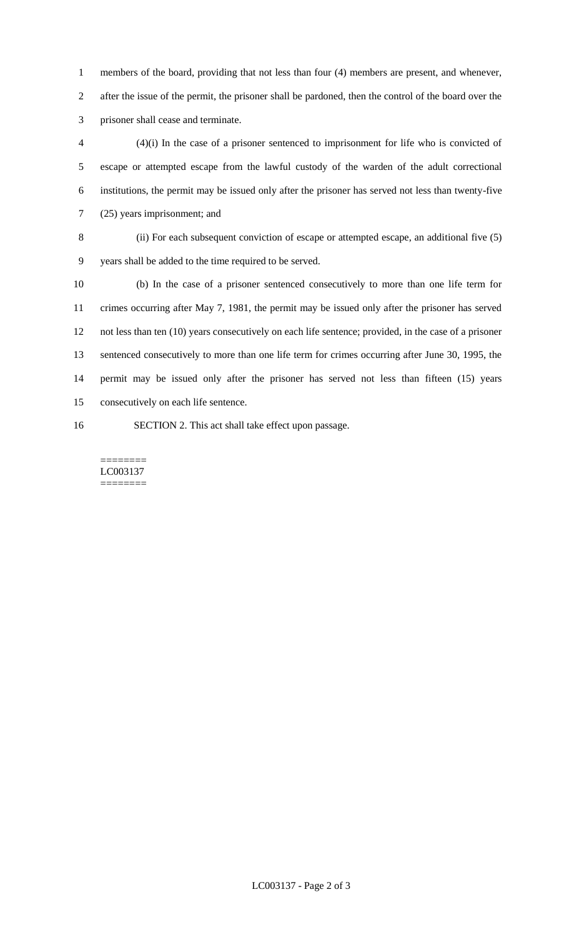members of the board, providing that not less than four (4) members are present, and whenever, after the issue of the permit, the prisoner shall be pardoned, then the control of the board over the prisoner shall cease and terminate.

 (4)(i) In the case of a prisoner sentenced to imprisonment for life who is convicted of escape or attempted escape from the lawful custody of the warden of the adult correctional institutions, the permit may be issued only after the prisoner has served not less than twenty-five (25) years imprisonment; and

- (ii) For each subsequent conviction of escape or attempted escape, an additional five (5)
- years shall be added to the time required to be served.

 (b) In the case of a prisoner sentenced consecutively to more than one life term for crimes occurring after May 7, 1981, the permit may be issued only after the prisoner has served not less than ten (10) years consecutively on each life sentence; provided, in the case of a prisoner 13 sentenced consecutively to more than one life term for crimes occurring after June 30, 1995, the permit may be issued only after the prisoner has served not less than fifteen (15) years consecutively on each life sentence.

- 
- SECTION 2. This act shall take effect upon passage.

======== LC003137 ========